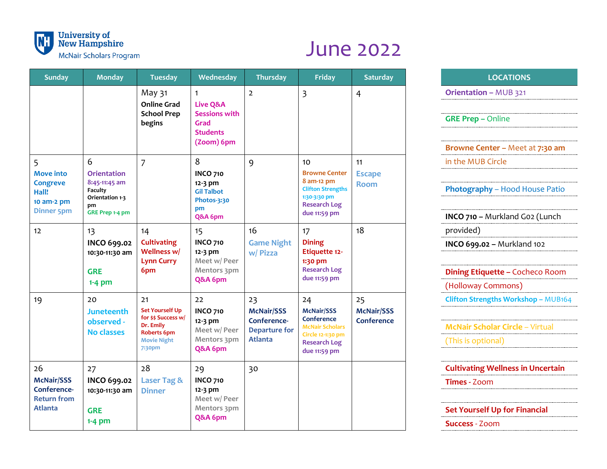

## June 2022

| <b>Sunday</b>                                                                        | <b>Monday</b>                                                                                          | <b>Tuesday</b>                                                                                                  | Wednesday                                                                                            | <b>Thursday</b>                                                                  | <b>Friday</b>                                                                                                                            | <b>Saturday</b>                       | <b>LOCATIONS</b>                 |
|--------------------------------------------------------------------------------------|--------------------------------------------------------------------------------------------------------|-----------------------------------------------------------------------------------------------------------------|------------------------------------------------------------------------------------------------------|----------------------------------------------------------------------------------|------------------------------------------------------------------------------------------------------------------------------------------|---------------------------------------|----------------------------------|
|                                                                                      |                                                                                                        | May 31<br><b>Online Grad</b><br><b>School Prep</b><br>begins                                                    | $\mathbf{1}$<br><b>Live Q&amp;A</b><br><b>Sessions with</b><br>Grad<br><b>Students</b><br>(Zoom) 6pm | $\overline{2}$                                                                   | $\overline{\mathbf{3}}$                                                                                                                  | $\overline{4}$                        | Orientation - MUB 321            |
|                                                                                      |                                                                                                        |                                                                                                                 |                                                                                                      |                                                                                  |                                                                                                                                          |                                       | <b>GRE Prep - Online</b>         |
|                                                                                      |                                                                                                        |                                                                                                                 |                                                                                                      |                                                                                  |                                                                                                                                          |                                       | <b>Browne Center - Meeta</b>     |
| 5<br><b>Move into</b><br><b>Congreve</b><br>Hall!<br>10 am-2 pm<br><b>Dinner 5pm</b> | 6<br><b>Orientation</b><br>8:45-11:45 am<br><b>Faculty</b><br>Orientation 1-3<br>pm<br>GRE Prep 1-4 pm | $\overline{7}$                                                                                                  | 8<br><b>INCO 710</b><br>12-3 pm<br><b>Gil Talbot</b><br>Photos-3:30<br>pm<br>Q&A 6pm                 | 9                                                                                | 10 <sup>1</sup><br><b>Browne Center</b><br>8 am-12 pm<br><b>Clifton Strengths</b><br>1:30-3:30 pm<br><b>Research Log</b><br>due 11:59 pm | 11<br><b>Escape</b><br><b>Room</b>    | in the MUB Circle                |
|                                                                                      |                                                                                                        |                                                                                                                 |                                                                                                      |                                                                                  |                                                                                                                                          |                                       | Photography - Hood Ho            |
|                                                                                      |                                                                                                        |                                                                                                                 |                                                                                                      |                                                                                  |                                                                                                                                          |                                       | INCO 710 - Murkland Go           |
| 12                                                                                   | 13<br><b>INCO 699.02</b><br>10:30-11:30 am<br><b>GRE</b><br>$1-4$ pm                                   | 14<br><b>Cultivating</b><br>Wellness w/<br><b>Lynn Curry</b><br>6pm                                             | 15<br><b>INCO 710</b><br>12-3 pm<br>Meet w/ Peer<br>Mentors 3pm<br>Q&A 6pm                           | 16<br><b>Game Night</b><br>w/ Pizza                                              | 17<br><b>Dining</b><br><b>Etiquette 12-</b><br>1:30 pm<br><b>Research Log</b><br>due 11:59 pm                                            | 18                                    | provided)                        |
|                                                                                      |                                                                                                        |                                                                                                                 |                                                                                                      |                                                                                  |                                                                                                                                          |                                       | INCO 699.02 - Murkland           |
|                                                                                      |                                                                                                        |                                                                                                                 |                                                                                                      |                                                                                  |                                                                                                                                          |                                       | <b>Dining Etiquette - Coch</b>   |
|                                                                                      |                                                                                                        |                                                                                                                 |                                                                                                      |                                                                                  |                                                                                                                                          |                                       | (Holloway Commons)               |
| 19                                                                                   | 20<br><b>Juneteenth</b><br>observed -<br><b>No classes</b>                                             | 21<br><b>Set Yourself Up</b><br>for \$\$ Success w/<br>Dr. Emily<br>Roberts 6pm<br><b>Movie Night</b><br>7:30pm | 22<br><b>INCO 710</b><br>12-3 pm<br>Meet w/ Peer<br>Mentors 3pm<br>Q&A 6pm                           | 23<br><b>McNair/SSS</b><br>Conference-<br><b>Departure for</b><br><b>Atlanta</b> | 24<br><b>McNair/SSS</b><br>Conference<br><b>McNair Scholars</b><br>Circle 12-1:30 pm<br><b>Research Log</b><br>due 11:59 pm              | 25<br><b>McNair/SSS</b><br>Conference | <b>Clifton Strengths Worksho</b> |
|                                                                                      |                                                                                                        |                                                                                                                 |                                                                                                      |                                                                                  |                                                                                                                                          |                                       | <b>McNair Scholar Circle -</b>   |
|                                                                                      |                                                                                                        |                                                                                                                 |                                                                                                      |                                                                                  |                                                                                                                                          |                                       | (This is optional)               |
| 26                                                                                   | 27                                                                                                     | 28                                                                                                              | 29                                                                                                   | 30                                                                               |                                                                                                                                          |                                       | <b>Cultivating Wellness in</b>   |
| <b>McNair/SSS</b><br>Conference-<br><b>Return from</b><br><b>Atlanta</b>             | <b>INCO 699.02</b><br>10:30-11:30 am                                                                   | <b>Laser Tag &amp;</b><br><b>Dinner</b>                                                                         | <b>INCO 710</b><br>12-3 pm<br>Meet w/ Peer                                                           |                                                                                  |                                                                                                                                          |                                       | <b>Times - Zoom</b>              |
|                                                                                      | <b>GRE</b>                                                                                             |                                                                                                                 | Mentors 3pm                                                                                          |                                                                                  |                                                                                                                                          |                                       | <b>Set Yourself Up for Fina</b>  |
|                                                                                      | $1-4$ pm                                                                                               |                                                                                                                 | Q&A 6pm                                                                                              |                                                                                  |                                                                                                                                          |                                       | <b>Success</b> - Zoom            |

## **Orientation – MUB 321**

**Browne Center –** Meet at **7:30 am** in the MUB Circle

**Photography** – Hood House Patio

**INCO 710 –** Murkland G02 (Lunch

**INCO 699.02 –** Murkland 102

**Dining Etiquette –** Cocheco Room (Holloway Commons)

**Clifton Strengths Workshop - MUB164** 

**McNair Scholar Circle** – Virtual (This is optional)

26 27 28 29 30 **Cultivating Wellness in Uncertain Times -** Zoom

**Set Yourself Up for Financial**